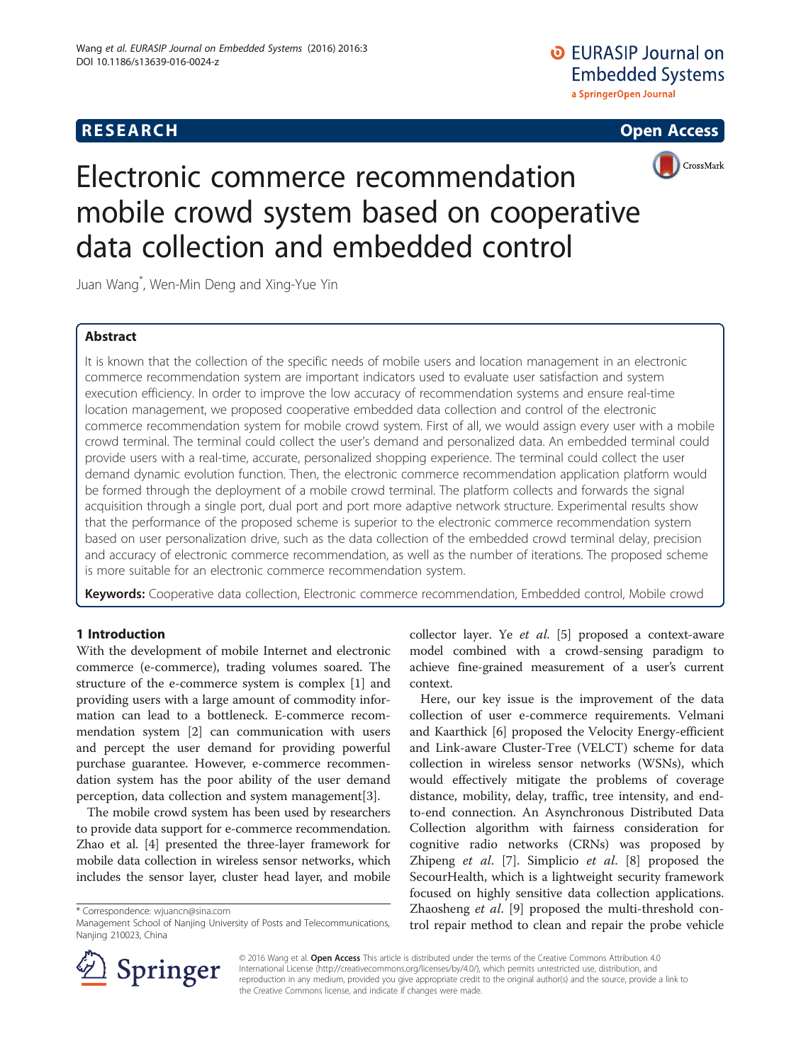# **RESEARCH CHEAR CHEAR CHEAR CHEAR CHEAR CHEAR CHEAR CHEAR CHEAR CHEAR CHEAR CHEAR CHEAR CHEAR CHEAR CHEAR CHEAR**





# Electronic commerce recommendation mobile crowd system based on cooperative data collection and embedded control

Juan Wang\* , Wen-Min Deng and Xing-Yue Yin

# Abstract

It is known that the collection of the specific needs of mobile users and location management in an electronic commerce recommendation system are important indicators used to evaluate user satisfaction and system execution efficiency. In order to improve the low accuracy of recommendation systems and ensure real-time location management, we proposed cooperative embedded data collection and control of the electronic commerce recommendation system for mobile crowd system. First of all, we would assign every user with a mobile crowd terminal. The terminal could collect the user's demand and personalized data. An embedded terminal could provide users with a real-time, accurate, personalized shopping experience. The terminal could collect the user demand dynamic evolution function. Then, the electronic commerce recommendation application platform would be formed through the deployment of a mobile crowd terminal. The platform collects and forwards the signal acquisition through a single port, dual port and port more adaptive network structure. Experimental results show that the performance of the proposed scheme is superior to the electronic commerce recommendation system based on user personalization drive, such as the data collection of the embedded crowd terminal delay, precision and accuracy of electronic commerce recommendation, as well as the number of iterations. The proposed scheme is more suitable for an electronic commerce recommendation system.

Keywords: Cooperative data collection, Electronic commerce recommendation, Embedded control, Mobile crowd

#### 1 Introduction

With the development of mobile Internet and electronic commerce (e-commerce), trading volumes soared. The structure of the e-commerce system is complex [[1\]](#page--1-0) and providing users with a large amount of commodity information can lead to a bottleneck. E-commerce recommendation system [[2\]](#page--1-0) can communication with users and percept the user demand for providing powerful purchase guarantee. However, e-commerce recommendation system has the poor ability of the user demand perception, data collection and system management[[3\]](#page--1-0).

The mobile crowd system has been used by researchers to provide data support for e-commerce recommendation. Zhao et al. [\[4](#page--1-0)] presented the three-layer framework for mobile data collection in wireless sensor networks, which includes the sensor layer, cluster head layer, and mobile

\* Correspondence: [wjuancn@sina.com](mailto:wjuancn@sina.com)

collector layer. Ye et al. [\[5](#page--1-0)] proposed a context-aware model combined with a crowd-sensing paradigm to achieve fine-grained measurement of a user's current context.

Here, our key issue is the improvement of the data collection of user e-commerce requirements. Velmani and Kaarthick [\[6\]](#page--1-0) proposed the Velocity Energy-efficient and Link-aware Cluster-Tree (VELCT) scheme for data collection in wireless sensor networks (WSNs), which would effectively mitigate the problems of coverage distance, mobility, delay, traffic, tree intensity, and endto-end connection. An Asynchronous Distributed Data Collection algorithm with fairness consideration for cognitive radio networks (CRNs) was proposed by Zhipeng et al. [\[7](#page--1-0)]. Simplicio et al. [\[8](#page--1-0)] proposed the SecourHealth, which is a lightweight security framework focused on highly sensitive data collection applications. Zhaosheng et al. [[9\]](#page--1-0) proposed the multi-threshold control repair method to clean and repair the probe vehicle



© 2016 Wang et al. Open Access This article is distributed under the terms of the Creative Commons Attribution 4.0 International License ([http://creativecommons.org/licenses/by/4.0/\)](http://creativecommons.org/licenses/by/4.0/), which permits unrestricted use, distribution, and reproduction in any medium, provided you give appropriate credit to the original author(s) and the source, provide a link to the Creative Commons license, and indicate if changes were made.

Management School of Nanjing University of Posts and Telecommunications, Nanjing 210023, China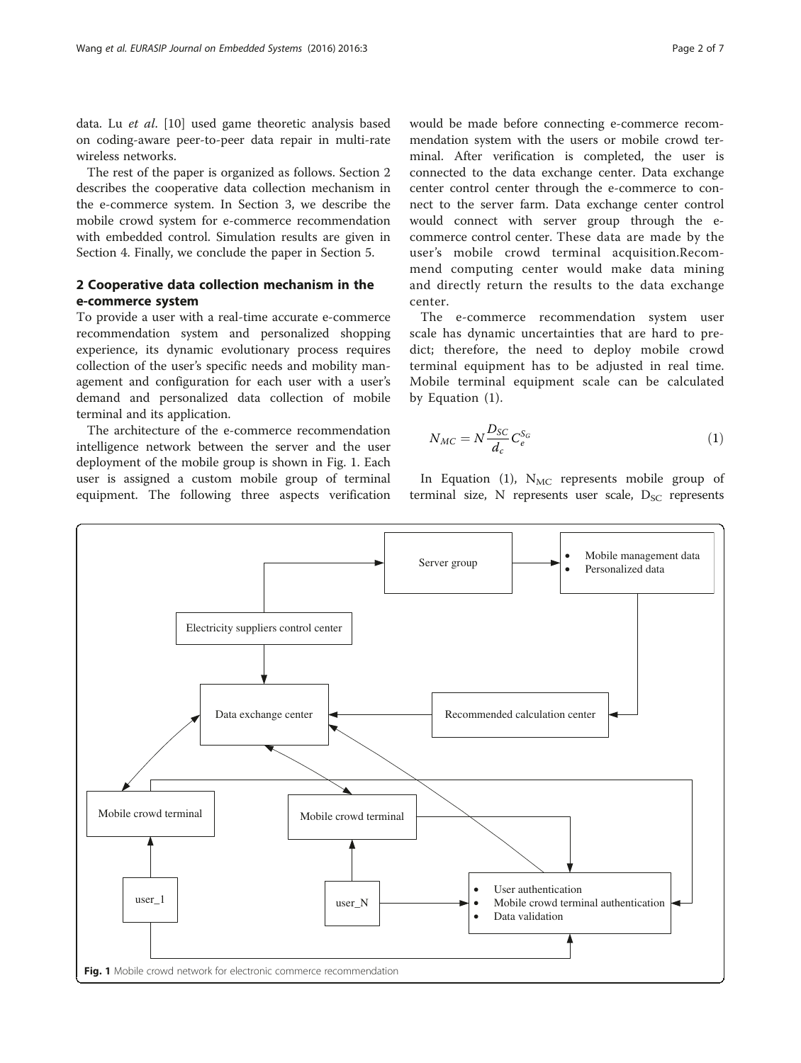data. Lu et al. [[10\]](#page--1-0) used game theoretic analysis based on coding-aware peer-to-peer data repair in multi-rate wireless networks.

The rest of the paper is organized as follows. Section 2 describes the cooperative data collection mechanism in the e-commerce system. In Section [3,](#page-2-0) we describe the mobile crowd system for e-commerce recommendation with embedded control. Simulation results are given in Section [4.](#page-4-0) Finally, we conclude the paper in Section [5.](#page--1-0)

### 2 Cooperative data collection mechanism in the e-commerce system

To provide a user with a real-time accurate e-commerce recommendation system and personalized shopping experience, its dynamic evolutionary process requires collection of the user's specific needs and mobility management and configuration for each user with a user's demand and personalized data collection of mobile terminal and its application.

The architecture of the e-commerce recommendation intelligence network between the server and the user deployment of the mobile group is shown in Fig. 1. Each user is assigned a custom mobile group of terminal equipment. The following three aspects verification

would be made before connecting e-commerce recommendation system with the users or mobile crowd terminal. After verification is completed, the user is connected to the data exchange center. Data exchange center control center through the e-commerce to connect to the server farm. Data exchange center control would connect with server group through the ecommerce control center. These data are made by the user's mobile crowd terminal acquisition.Recommend computing center would make data mining and directly return the results to the data exchange center.

The e-commerce recommendation system user scale has dynamic uncertainties that are hard to predict; therefore, the need to deploy mobile crowd terminal equipment has to be adjusted in real time. Mobile terminal equipment scale can be calculated by Equation (1).

$$
N_{MC} = N \frac{D_{SC}}{d_c} C_e^{S_G} \tag{1}
$$

In Equation (1),  $N_{MC}$  represents mobile group of terminal size, N represents user scale,  $D_{SC}$  represents

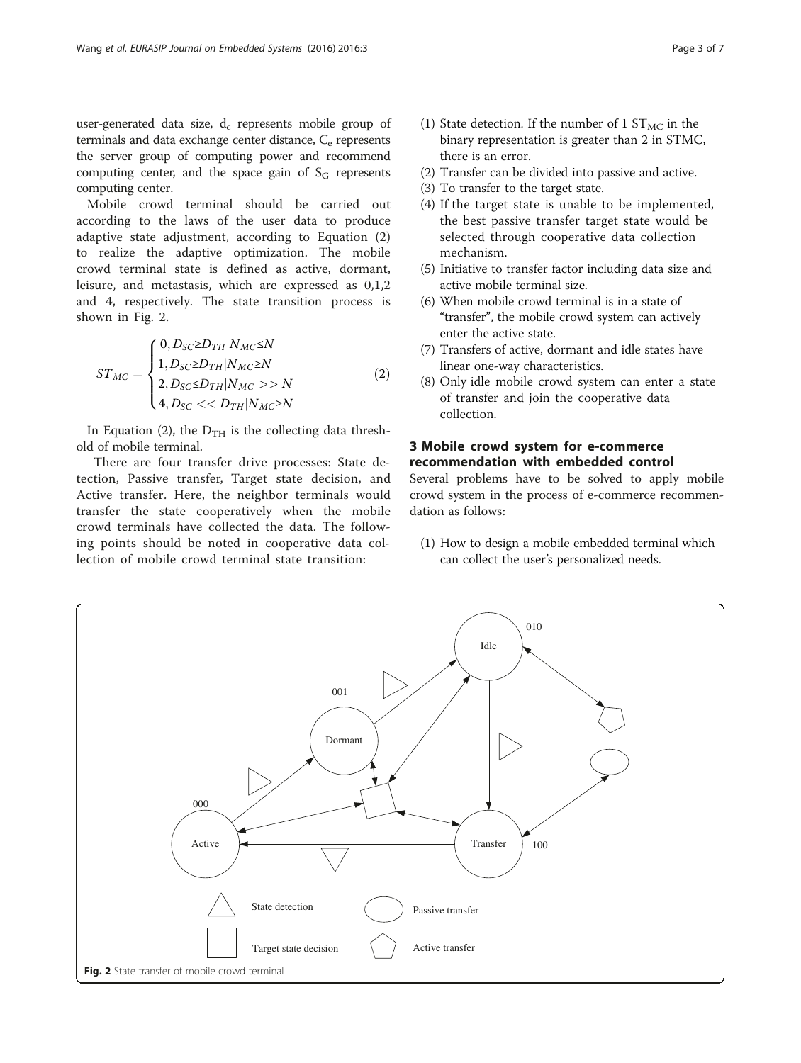<span id="page-2-0"></span>user-generated data size,  $d_c$  represents mobile group of terminals and data exchange center distance,  $C<sub>e</sub>$  represents the server group of computing power and recommend computing center, and the space gain of  $S_G$  represents computing center.

Mobile crowd terminal should be carried out according to the laws of the user data to produce adaptive state adjustment, according to Equation (2) to realize the adaptive optimization. The mobile crowd terminal state is defined as active, dormant, leisure, and metastasis, which are expressed as 0,1,2 and 4, respectively. The state transition process is shown in Fig. 2.

$$
ST_{MC} = \begin{cases} 0, D_{SC} \ge D_{TH} | N_{MC} \le N \\ 1, D_{SC} \ge D_{TH} | N_{MC} \ge N \\ 2, D_{SC} \le D_{TH} | N_{MC} >> N \\ 4, D_{SC} << D_{TH} | N_{MC} \ge N \end{cases}
$$
(2)

In Equation (2), the  $D_{TH}$  is the collecting data threshold of mobile terminal.

There are four transfer drive processes: State detection, Passive transfer, Target state decision, and Active transfer. Here, the neighbor terminals would transfer the state cooperatively when the mobile crowd terminals have collected the data. The following points should be noted in cooperative data collection of mobile crowd terminal state transition:

- (1) State detection. If the number of 1  $ST_{MC}$  in the binary representation is greater than 2 in STMC, there is an error.
- (2) Transfer can be divided into passive and active.
- (3) To transfer to the target state.
- (4) If the target state is unable to be implemented, the best passive transfer target state would be selected through cooperative data collection mechanism.
- (5) Initiative to transfer factor including data size and active mobile terminal size.
- (6) When mobile crowd terminal is in a state of "transfer", the mobile crowd system can actively enter the active state.
- (7) Transfers of active, dormant and idle states have linear one-way characteristics.
- (8) Only idle mobile crowd system can enter a state of transfer and join the cooperative data collection.

## 3 Mobile crowd system for e-commerce recommendation with embedded control

Several problems have to be solved to apply mobile crowd system in the process of e-commerce recommendation as follows:

(1) How to design a mobile embedded terminal which can collect the user's personalized needs.

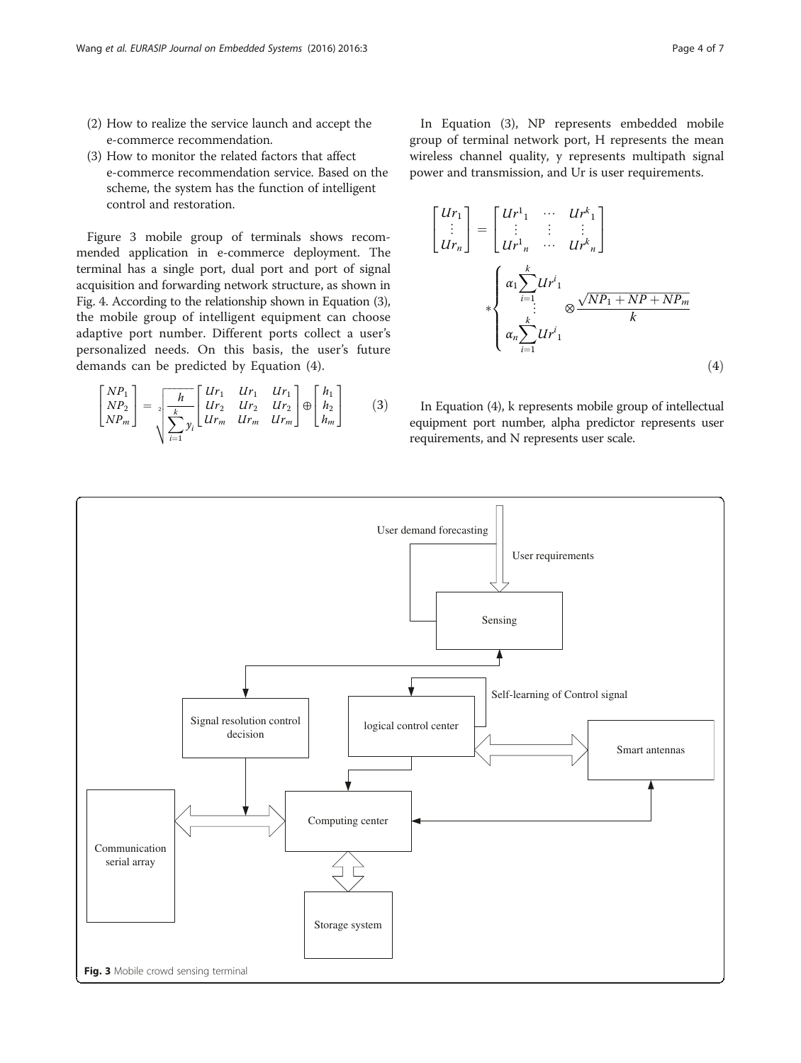- <span id="page-3-0"></span>(2) How to realize the service launch and accept the e-commerce recommendation.
- (3) How to monitor the related factors that affect e-commerce recommendation service. Based on the scheme, the system has the function of intelligent control and restoration.

Figure 3 mobile group of terminals shows recommended application in e-commerce deployment. The terminal has a single port, dual port and port of signal acquisition and forwarding network structure, as shown in Fig. [4](#page-4-0). According to the relationship shown in Equation (3), the mobile group of intelligent equipment can choose adaptive port number. Different ports collect a user's personalized needs. On this basis, the user's future demands can be predicted by Equation (4).

$$
\begin{bmatrix} NP_1 \\ NP_2 \\ NP_m \end{bmatrix} = \sqrt[k]{\frac{h}{\frac{k}{\sum_{i=1}^{k} y_i}} \begin{bmatrix} Ur_1 & Ur_1 & Ur_1 \\ Ur_2 & Ur_2 & Ur_2 \\ Ur_m & Ur_m & Ur_m \end{bmatrix}} \oplus \begin{bmatrix} h_1 \\ h_2 \\ h_m \end{bmatrix}
$$
 (3)

In Equation (3), NP represents embedded mobile group of terminal network port, H represents the mean wireless channel quality, y represents multipath signal power and transmission, and Ur is user requirements.

$$
\begin{bmatrix} Ur_1 \\ \vdots \\ Ur_n \end{bmatrix} = \begin{bmatrix} Ur_1^1 & \cdots & Ur_{1}^k \\ \vdots & \vdots & \vdots \\ Ur_n^1 & \cdots & Ur_{n}^k \end{bmatrix}
$$

$$
*\begin{cases} \alpha_1 \sum_{i=1}^k Ur_1^i \\ \vdots \\ \alpha_n \sum_{i=1}^k Ur_1^i \end{cases} \otimes \frac{\sqrt{NP_1 + NP + NP_m}}{k}
$$
(4)

In Equation (4), k represents mobile group of intellectual equipment port number, alpha predictor represents user requirements, and N represents user scale.

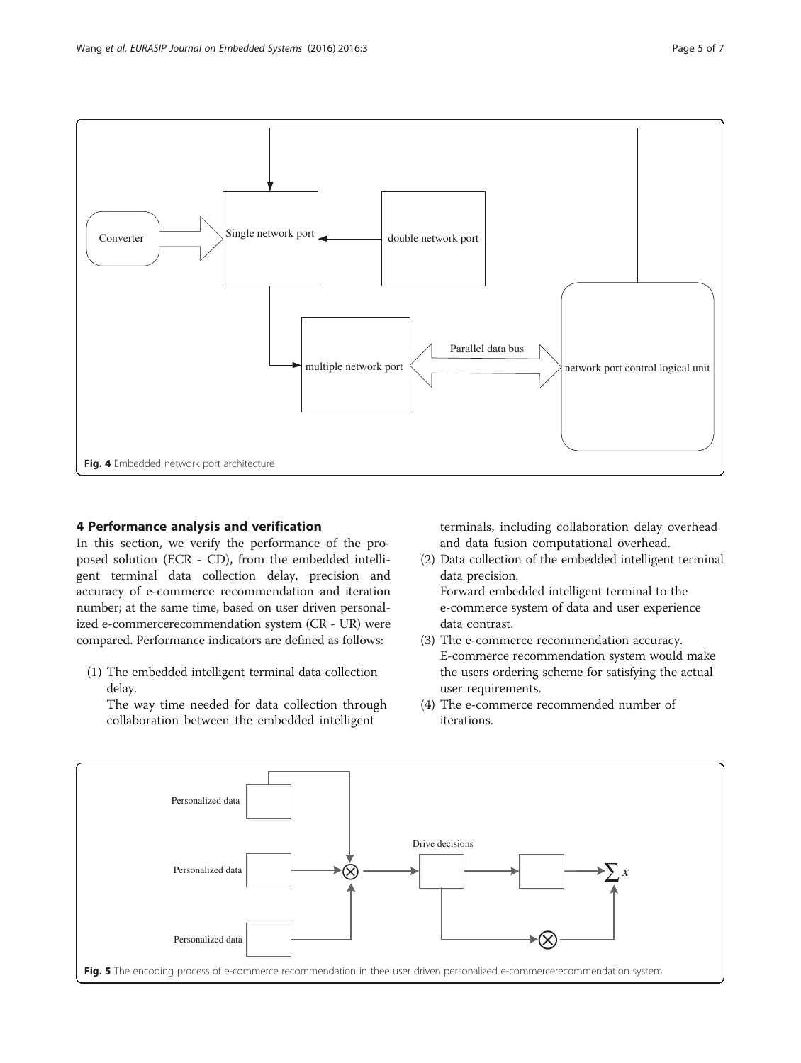<span id="page-4-0"></span>

#### 4 Performance analysis and verification

In this section, we verify the performance of the proposed solution (ECR - CD), from the embedded intelligent terminal data collection delay, precision and accuracy of e-commerce recommendation and iteration number; at the same time, based on user driven personalized e-commercerecommendation system (CR - UR) were compared. Performance indicators are defined as follows:

(1) The embedded intelligent terminal data collection delay.

The way time needed for data collection through collaboration between the embedded intelligent

terminals, including collaboration delay overhead and data fusion computational overhead.

- (2) Data collection of the embedded intelligent terminal data precision. Forward embedded intelligent terminal to the e-commerce system of data and user experience
- (3) The e-commerce recommendation accuracy. E-commerce recommendation system would make the users ordering scheme for satisfying the actual user requirements.
- (4) The e-commerce recommended number of iterations.

data contrast.

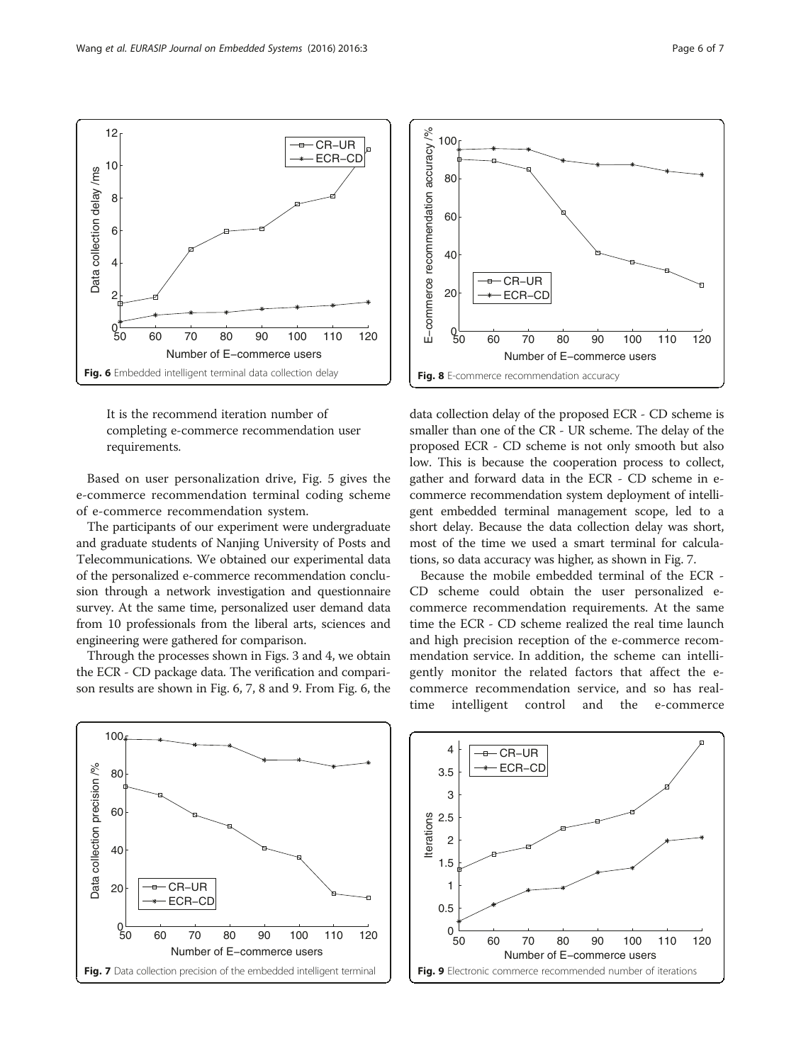<span id="page-5-0"></span>

It is the recommend iteration number of completing e-commerce recommendation user requirements.

Based on user personalization drive, Fig. [5](#page-4-0) gives the e-commerce recommendation terminal coding scheme of e-commerce recommendation system.

The participants of our experiment were undergraduate and graduate students of Nanjing University of Posts and Telecommunications. We obtained our experimental data of the personalized e-commerce recommendation conclusion through a network investigation and questionnaire survey. At the same time, personalized user demand data from 10 professionals from the liberal arts, sciences and engineering were gathered for comparison.

Through the processes shown in Figs. [3](#page-3-0) and [4](#page-4-0), we obtain the ECR - CD package data. The verification and comparison results are shown in Fig. 6, 7, 8 and 9. From Fig. 6, the



data collection delay of the proposed ECR - CD scheme is smaller than one of the CR - UR scheme. The delay of the proposed ECR - CD scheme is not only smooth but also low. This is because the cooperation process to collect, gather and forward data in the ECR - CD scheme in ecommerce recommendation system deployment of intelligent embedded terminal management scope, led to a short delay. Because the data collection delay was short, most of the time we used a smart terminal for calculations, so data accuracy was higher, as shown in Fig. 7.

Because the mobile embedded terminal of the ECR - CD scheme could obtain the user personalized ecommerce recommendation requirements. At the same time the ECR - CD scheme realized the real time launch and high precision reception of the e-commerce recommendation service. In addition, the scheme can intelligently monitor the related factors that affect the ecommerce recommendation service, and so has realtime intelligent control and the e-commerce